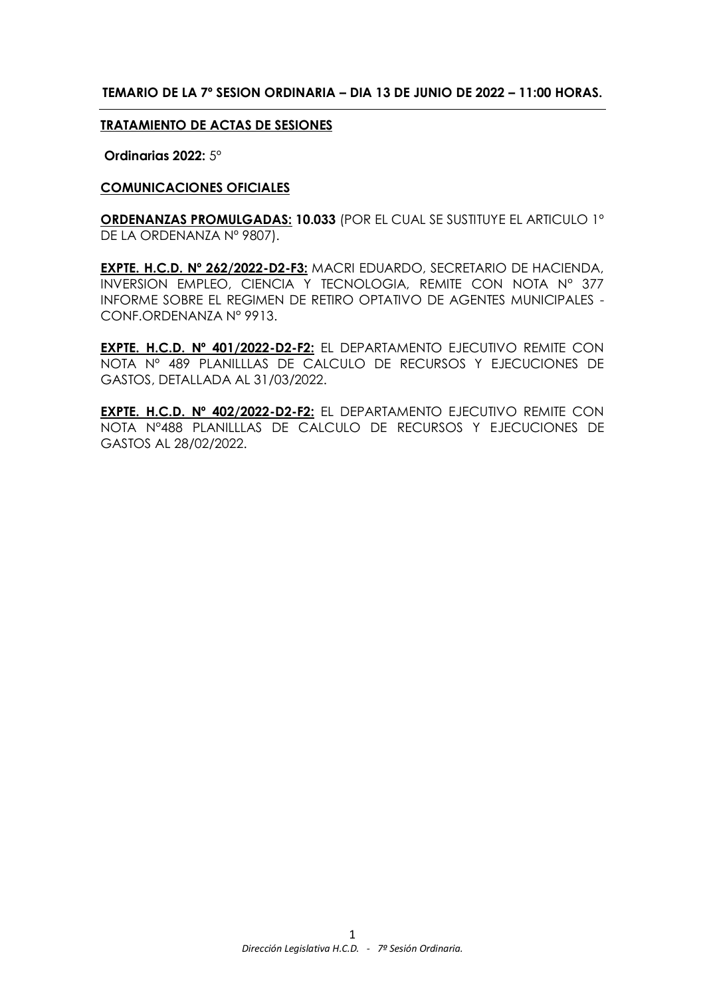### **TEMARIO DE LA 7º SESION ORDINARIA – DIA 13 DE JUNIO DE 2022 – 11:00 HORAS.**

#### **TRATAMIENTO DE ACTAS DE SESIONES**

**Ordinarias 2022:** 5º

#### **COMUNICACIONES OFICIALES**

**ORDENANZAS PROMULGADAS: 10.033** (POR EL CUAL SE SUSTITUYE EL ARTICULO 1º DE LA ORDENANZA Nº 9807).

**EXPTE. H.C.D. Nº 262/2022-D2-F3:** MACRI EDUARDO, SECRETARIO DE HACIENDA, INVERSION EMPLEO, CIENCIA Y TECNOLOGIA, REMITE CON NOTA N° 377 INFORME SOBRE EL REGIMEN DE RETIRO OPTATIVO DE AGENTES MUNICIPALES - CONF.ORDENANZA N° 9913.

**EXPTE. H.C.D. Nº 401/2022-D2-F2:** EL DEPARTAMENTO EJECUTIVO REMITE CON NOTA Nº 489 PLANILLLAS DE CALCULO DE RECURSOS Y EJECUCIONES DE GASTOS, DETALLADA AL 31/03/2022.

**EXPTE. H.C.D. Nº 402/2022-D2-F2:** EL DEPARTAMENTO EJECUTIVO REMITE CON NOTA N°488 PLANILLLAS DE CALCULO DE RECURSOS Y EJECUCIONES DE GASTOS AL 28/02/2022.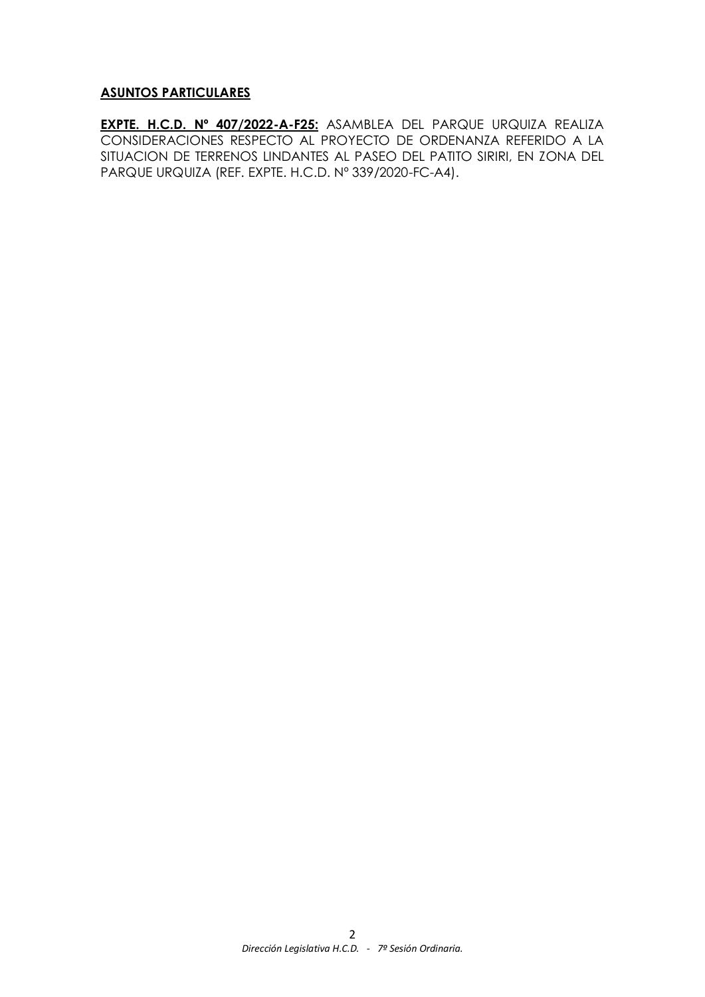### **ASUNTOS PARTICULARES**

**EXPTE. H.C.D. Nº 407/2022-A-F25:** ASAMBLEA DEL PARQUE URQUIZA REALIZA CONSIDERACIONES RESPECTO AL PROYECTO DE ORDENANZA REFERIDO A LA SITUACION DE TERRENOS LINDANTES AL PASEO DEL PATITO SIRIRI, EN ZONA DEL PARQUE URQUIZA (REF. EXPTE. H.C.D. Nº 339/2020-FC-A4).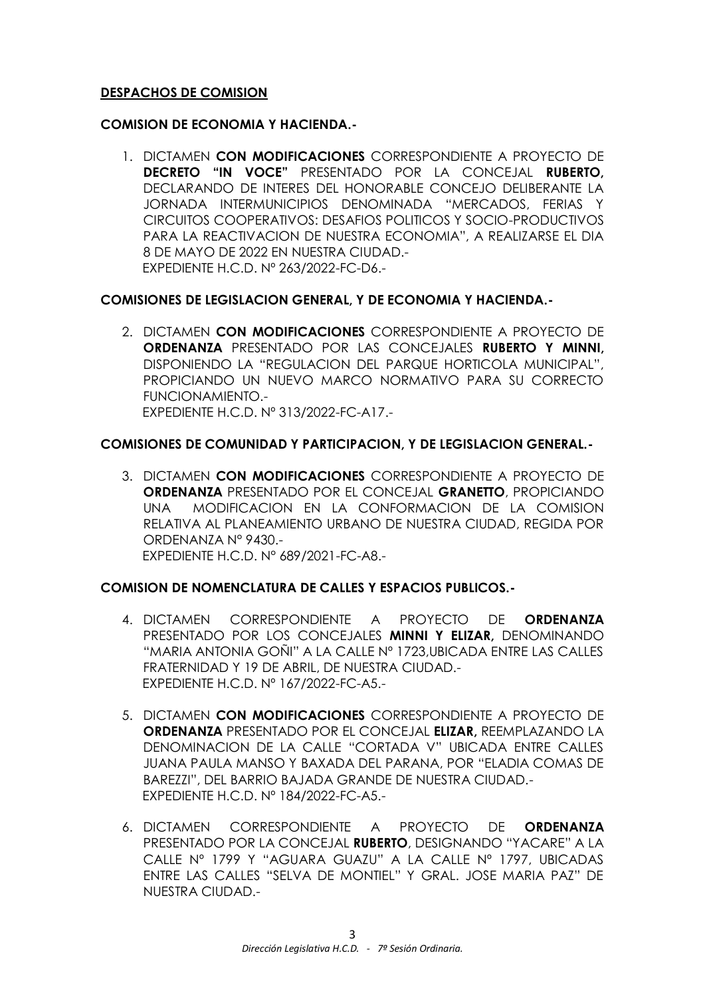# **DESPACHOS DE COMISION**

## **COMISION DE ECONOMIA Y HACIENDA.-**

1. DICTAMEN **CON MODIFICACIONES** CORRESPONDIENTE A PROYECTO DE **DECRETO "IN VOCE"** PRESENTADO POR LA CONCEJAL **RUBERTO,** DECLARANDO DE INTERES DEL HONORABLE CONCEJO DELIBERANTE LA JORNADA INTERMUNICIPIOS DENOMINADA "MERCADOS, FERIAS Y CIRCUITOS COOPERATIVOS: DESAFIOS POLITICOS Y SOCIO-PRODUCTIVOS PARA LA REACTIVACION DE NUESTRA ECONOMIA", A REALIZARSE EL DIA 8 DE MAYO DE 2022 EN NUESTRA CIUDAD.- EXPEDIENTE H.C.D. Nº 263/2022-FC-D6.-

# **COMISIONES DE LEGISLACION GENERAL, Y DE ECONOMIA Y HACIENDA.-**

2. DICTAMEN **CON MODIFICACIONES** CORRESPONDIENTE A PROYECTO DE **ORDENANZA** PRESENTADO POR LAS CONCEJALES **RUBERTO Y MINNI,**  DISPONIENDO LA "REGULACION DEL PARQUE HORTICOLA MUNICIPAL", PROPICIANDO UN NUEVO MARCO NORMATIVO PARA SU CORRECTO FUNCIONAMIENTO.- EXPEDIENTE H.C.D. Nº 313/2022-FC-A17.-

# **COMISIONES DE COMUNIDAD Y PARTICIPACION, Y DE LEGISLACION GENERAL.-**

3. DICTAMEN **CON MODIFICACIONES** CORRESPONDIENTE A PROYECTO DE **ORDENANZA** PRESENTADO POR EL CONCEJAL **GRANETTO**, PROPICIANDO UNA MODIFICACION EN LA CONFORMACION DE LA COMISION RELATIVA AL PLANEAMIENTO URBANO DE NUESTRA CIUDAD, REGIDA POR ORDENANZA N° 9430.- EXPEDIENTE H.C.D. N° 689/2021-FC-A8.-

### **COMISION DE NOMENCLATURA DE CALLES Y ESPACIOS PUBLICOS.-**

- 4. DICTAMEN CORRESPONDIENTE A PROYECTO DE **ORDENANZA** PRESENTADO POR LOS CONCEJALES **MINNI Y ELIZAR,** DENOMINANDO "MARIA ANTONIA GOÑI" A LA CALLE Nº 1723,UBICADA ENTRE LAS CALLES FRATERNIDAD Y 19 DE ABRIL, DE NUESTRA CIUDAD.- EXPEDIENTE H.C.D. Nº 167/2022-FC-A5.-
- 5. DICTAMEN **CON MODIFICACIONES** CORRESPONDIENTE A PROYECTO DE **ORDENANZA** PRESENTADO POR EL CONCEJAL **ELIZAR,** REEMPLAZANDO LA DENOMINACION DE LA CALLE "CORTADA V" UBICADA ENTRE CALLES JUANA PAULA MANSO Y BAXADA DEL PARANA, POR "ELADIA COMAS DE BAREZZI", DEL BARRIO BAJADA GRANDE DE NUESTRA CIUDAD.- EXPEDIENTE H.C.D. Nº 184/2022-FC-A5.-
- 6. DICTAMEN CORRESPONDIENTE A PROYECTO DE **ORDENANZA**  PRESENTADO POR LA CONCEJAL **RUBERTO**, DESIGNANDO "YACARE" A LA CALLE Nº 1799 Y "AGUARA GUAZU" A LA CALLE Nº 1797, UBICADAS ENTRE LAS CALLES "SELVA DE MONTIEL" Y GRAL. JOSE MARIA PAZ" DE NUESTRA CIUDAD.-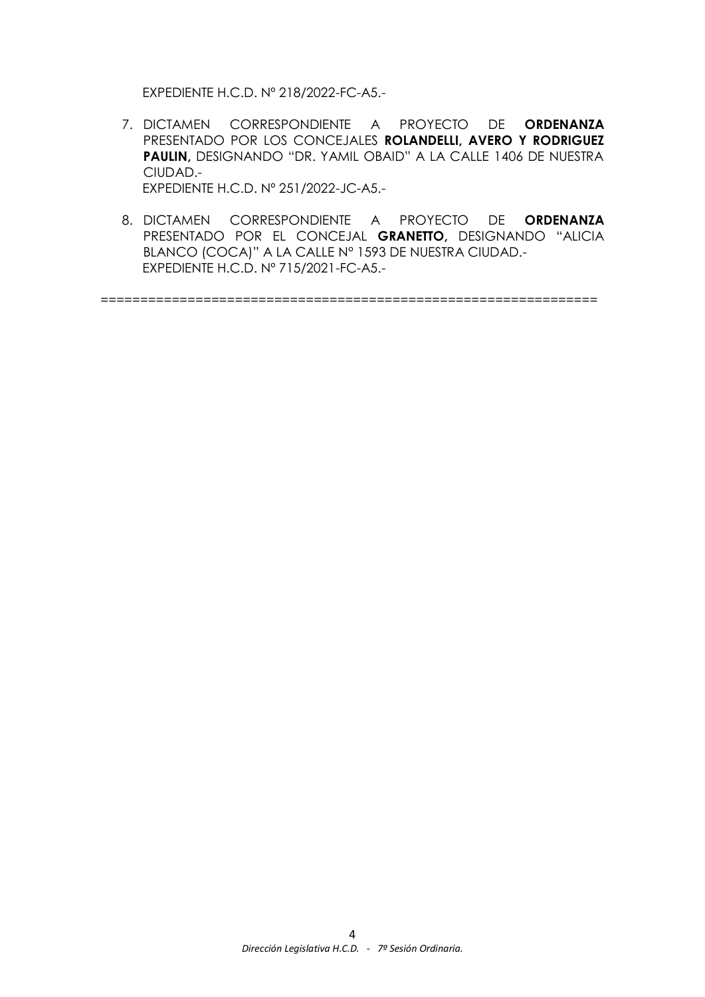EXPEDIENTE H.C.D. Nº 218/2022-FC-A5.-

- 7. DICTAMEN CORRESPONDIENTE A PROYECTO DE **ORDENANZA**  PRESENTADO POR LOS CONCEJALES **ROLANDELLI, AVERO Y RODRIGUEZ PAULIN,** DESIGNANDO "DR. YAMIL OBAID" A LA CALLE 1406 DE NUESTRA CIUDAD.- EXPEDIENTE H.C.D. Nº 251/2022-JC-A5.-
- 8. DICTAMEN CORRESPONDIENTE A PROYECTO DE **ORDENANZA**  PRESENTADO POR EL CONCEJAL **GRANETTO,** DESIGNANDO "ALICIA BLANCO (COCA)" A LA CALLE N° 1593 DE NUESTRA CIUDAD.- EXPEDIENTE H.C.D. Nº 715/2021-FC-A5.-

===============================================================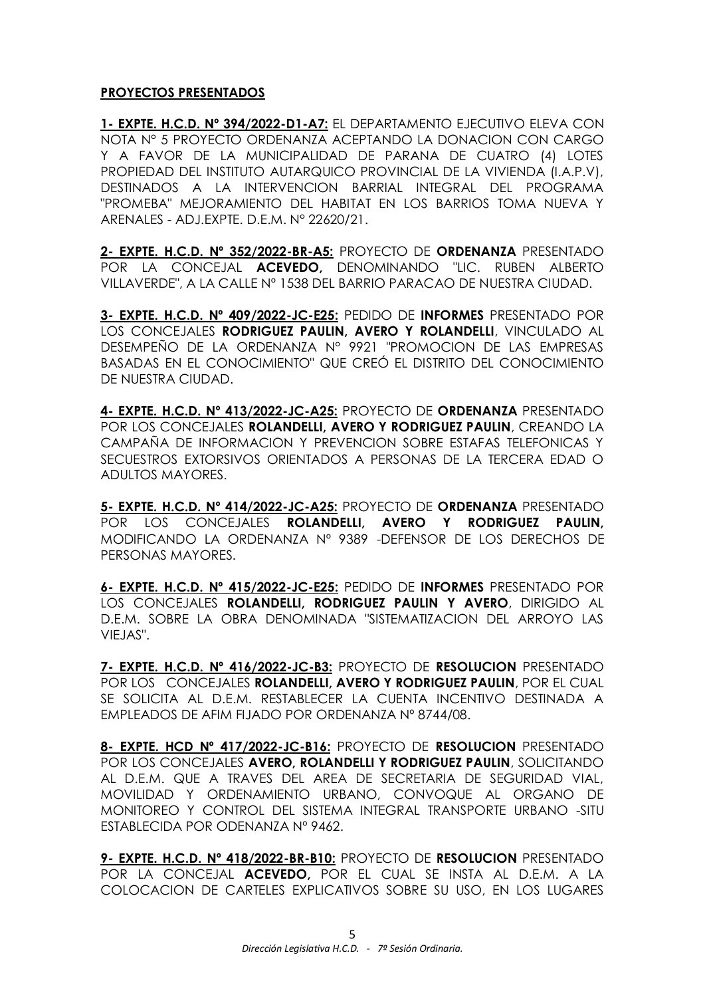# **PROYECTOS PRESENTADOS**

**1- EXPTE. H.C.D. Nº 394/2022-D1-A7:** EL DEPARTAMENTO EJECUTIVO ELEVA CON NOTA N° 5 PROYECTO ORDENANZA ACEPTANDO LA DONACION CON CARGO Y A FAVOR DE LA MUNICIPALIDAD DE PARANA DE CUATRO (4) LOTES PROPIEDAD DEL INSTITUTO AUTARQUICO PROVINCIAL DE LA VIVIENDA (I.A.P.V), DESTINADOS A LA INTERVENCION BARRIAL INTEGRAL DEL PROGRAMA "PROMEBA" MEJORAMIENTO DEL HABITAT EN LOS BARRIOS TOMA NUEVA Y ARENALES - ADJ.EXPTE. D.E.M. N° 22620/21.

**2- EXPTE. H.C.D. Nº 352/2022-BR-A5:** PROYECTO DE **ORDENANZA** PRESENTADO POR LA CONCEJAL **ACEVEDO,** DENOMINANDO "LIC. RUBEN ALBERTO VILLAVERDE", A LA CALLE Nº 1538 DEL BARRIO PARACAO DE NUESTRA CIUDAD.

**3- EXPTE. H.C.D. Nº 409/2022-JC-E25:** PEDIDO DE **INFORMES** PRESENTADO POR LOS CONCEJALES **RODRIGUEZ PAULIN, AVERO Y ROLANDELLI**, VINCULADO AL DESEMPEÑO DE LA ORDENANZA N° 9921 "PROMOCION DE LAS EMPRESAS BASADAS EN EL CONOCIMIENTO" QUE CREÓ EL DISTRITO DEL CONOCIMIENTO DE NUESTRA CIUDAD.

**4- EXPTE. H.C.D. Nº 413/2022-JC-A25:** PROYECTO DE **ORDENANZA** PRESENTADO POR LOS CONCEJALES **ROLANDELLI, AVERO Y RODRIGUEZ PAULIN**, CREANDO LA CAMPAÑA DE INFORMACION Y PREVENCION SOBRE ESTAFAS TELEFONICAS Y SECUESTROS EXTORSIVOS ORIENTADOS A PERSONAS DE LA TERCERA EDAD O ADULTOS MAYORES.

**5- EXPTE. H.C.D. Nº 414/2022-JC-A25:** PROYECTO DE **ORDENANZA** PRESENTADO POR LOS CONCEJALES **ROLANDELLI, AVERO Y RODRIGUEZ PAULIN,** MODIFICANDO LA ORDENANZA Nº 9389 -DEFENSOR DE LOS DERECHOS DE PERSONAS MAYORES.

**6- EXPTE. H.C.D. Nº 415/2022-JC-E25:** PEDIDO DE **INFORMES** PRESENTADO POR LOS CONCEJALES **ROLANDELLI, RODRIGUEZ PAULIN Y AVERO**, DIRIGIDO AL D.E.M. SOBRE LA OBRA DENOMINADA "SISTEMATIZACION DEL ARROYO LAS VIEJAS".

**7- EXPTE. H.C.D. Nº 416/2022-JC-B3:** PROYECTO DE **RESOLUCION** PRESENTADO POR LOS CONCEJALES **ROLANDELLI, AVERO Y RODRIGUEZ PAULIN**, POR EL CUAL SE SOLICITA AL D.E.M. RESTABLECER LA CUENTA INCENTIVO DESTINADA A EMPLEADOS DE AFIM FIJADO POR ORDENANZA Nº 8744/08.

**8- EXPTE. HCD Nº 417/2022-JC-B16:** PROYECTO DE **RESOLUCION** PRESENTADO POR LOS CONCEJALES **AVERO, ROLANDELLI Y RODRIGUEZ PAULIN**, SOLICITANDO AL D.E.M. QUE A TRAVES DEL AREA DE SECRETARIA DE SEGURIDAD VIAL, MOVILIDAD Y ORDENAMIENTO URBANO, CONVOQUE AL ORGANO DE MONITOREO Y CONTROL DEL SISTEMA INTEGRAL TRANSPORTE URBANO -SITU ESTABLECIDA POR ODENANZA Nº 9462.

**9- EXPTE. H.C.D. Nº 418/2022-BR-B10:** PROYECTO DE **RESOLUCION** PRESENTADO POR LA CONCEJAL **ACEVEDO,** POR EL CUAL SE INSTA AL D.E.M. A LA COLOCACION DE CARTELES EXPLICATIVOS SOBRE SU USO, EN LOS LUGARES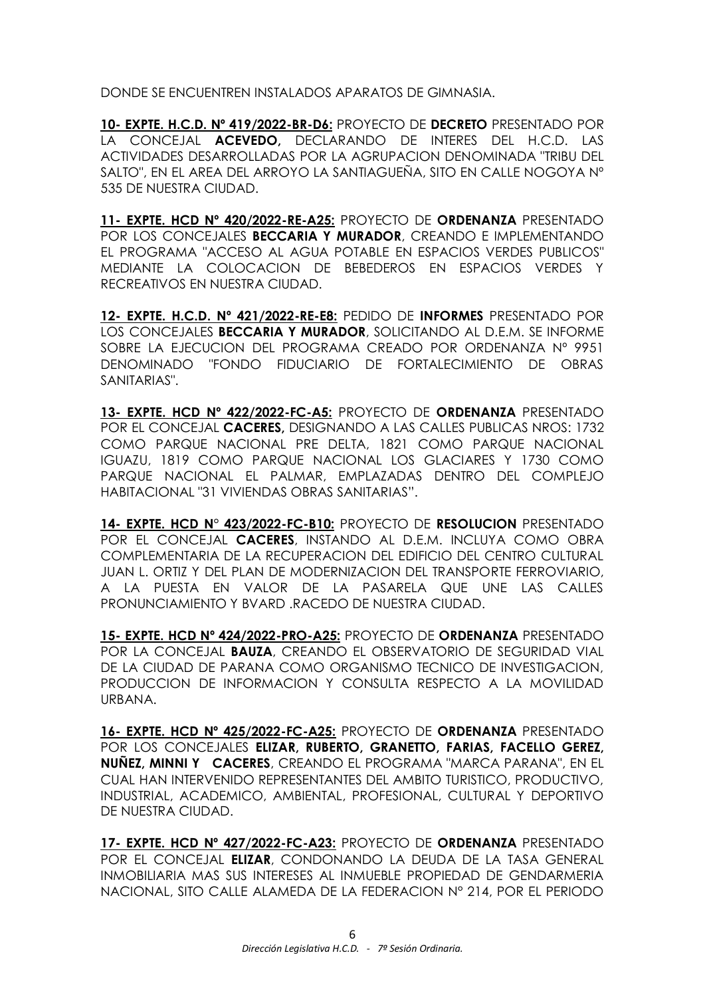DONDE SE ENCUENTREN INSTALADOS APARATOS DE GIMNASIA.

**10- EXPTE. H.C.D. Nº 419/2022-BR-D6:** PROYECTO DE **DECRETO** PRESENTADO POR LA CONCEJAL **ACEVEDO,** DECLARANDO DE INTERES DEL H.C.D. LAS ACTIVIDADES DESARROLLADAS POR LA AGRUPACION DENOMINADA "TRIBU DEL SALTO", EN EL AREA DEL ARROYO LA SANTIAGUEÑA, SITO EN CALLE NOGOYA Nº 535 DE NUESTRA CIUDAD.

**11- EXPTE. HCD Nº 420/2022-RE-A25:** PROYECTO DE **ORDENANZA** PRESENTADO POR LOS CONCEJALES **BECCARIA Y MURADOR**, CREANDO E IMPLEMENTANDO EL PROGRAMA "ACCESO AL AGUA POTABLE EN ESPACIOS VERDES PUBLICOS" MEDIANTE LA COLOCACION DE BEBEDEROS EN ESPACIOS VERDES Y RECREATIVOS EN NUESTRA CIUDAD.

**12- EXPTE. H.C.D. Nº 421/2022-RE-E8:** PEDIDO DE **INFORMES** PRESENTADO POR LOS CONCEJALES **BECCARIA Y MURADOR**, SOLICITANDO AL D.E.M. SE INFORME SOBRE LA EJECUCION DEL PROGRAMA CREADO POR ORDENANZA Nº 9951 DENOMINADO "FONDO FIDUCIARIO DE FORTALECIMIENTO DE OBRAS SANITARIAS".

**13- EXPTE. HCD Nº 422/2022-FC-A5:** PROYECTO DE **ORDENANZA** PRESENTADO POR EL CONCEJAL **CACERES,** DESIGNANDO A LAS CALLES PUBLICAS NROS: 1732 COMO PARQUE NACIONAL PRE DELTA, 1821 COMO PARQUE NACIONAL IGUAZU, 1819 COMO PARQUE NACIONAL LOS GLACIARES Y 1730 COMO PARQUE NACIONAL EL PALMAR, EMPLAZADAS DENTRO DEL COMPLEJO HABITACIONAL "31 VIVIENDAS OBRAS SANITARIAS".

**14- EXPTE. HCD N° 423/2022-FC-B10:** PROYECTO DE **RESOLUCION** PRESENTADO POR EL CONCEJAL **CACERES**, INSTANDO AL D.E.M. INCLUYA COMO OBRA COMPLEMENTARIA DE LA RECUPERACION DEL EDIFICIO DEL CENTRO CULTURAL JUAN L. ORTIZ Y DEL PLAN DE MODERNIZACION DEL TRANSPORTE FERROVIARIO, A LA PUESTA EN VALOR DE LA PASARELA QUE UNE LAS CALLES PRONUNCIAMIENTO Y BVARD .RACEDO DE NUESTRA CIUDAD.

**15- EXPTE. HCD Nº 424/2022-PRO-A25:** PROYECTO DE **ORDENANZA** PRESENTADO POR LA CONCEJAL **BAUZA**, CREANDO EL OBSERVATORIO DE SEGURIDAD VIAL DE LA CIUDAD DE PARANA COMO ORGANISMO TECNICO DE INVESTIGACION, PRODUCCION DE INFORMACION Y CONSULTA RESPECTO A LA MOVILIDAD URBANA.

**16- EXPTE. HCD Nº 425/2022-FC-A25:** PROYECTO DE **ORDENANZA** PRESENTADO POR LOS CONCEJALES **ELIZAR, RUBERTO, GRANETTO, FARIAS, FACELLO GEREZ, NUÑEZ, MINNI Y CACERES**, CREANDO EL PROGRAMA "MARCA PARANA", EN EL CUAL HAN INTERVENIDO REPRESENTANTES DEL AMBITO TURISTICO, PRODUCTIVO, INDUSTRIAL, ACADEMICO, AMBIENTAL, PROFESIONAL, CULTURAL Y DEPORTIVO DE NUESTRA CIUDAD.

**17- EXPTE. HCD Nº 427/2022-FC-A23:** PROYECTO DE **ORDENANZA** PRESENTADO POR EL CONCEJAL **ELIZAR**, CONDONANDO LA DEUDA DE LA TASA GENERAL INMOBILIARIA MAS SUS INTERESES AL INMUEBLE PROPIEDAD DE GENDARMERIA NACIONAL, SITO CALLE ALAMEDA DE LA FEDERACION N° 214, POR EL PERIODO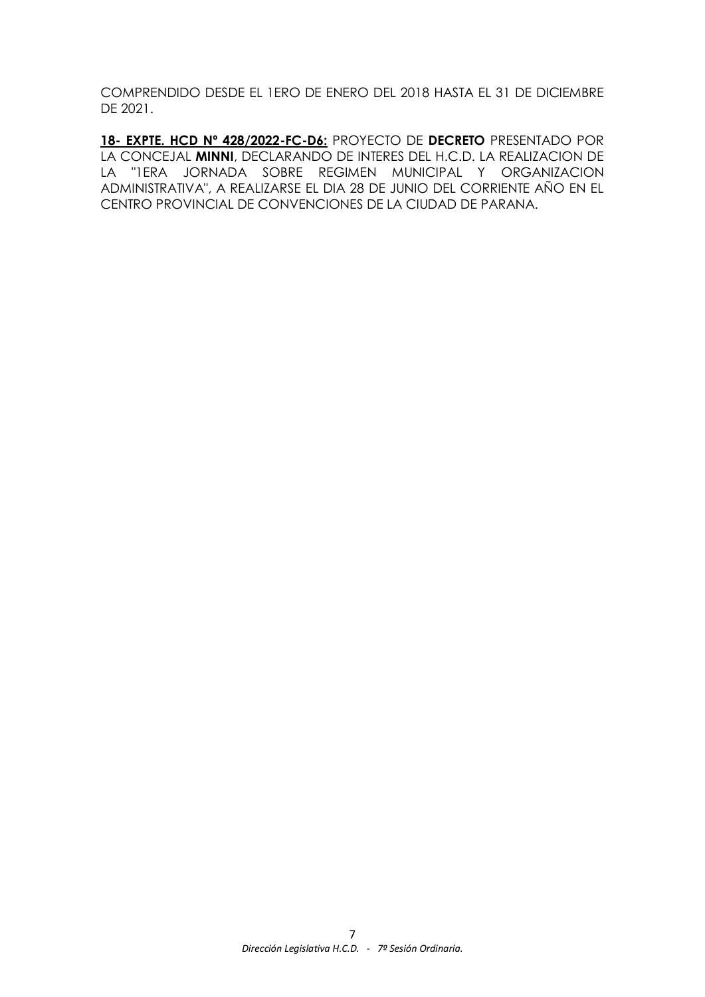COMPRENDIDO DESDE EL 1ERO DE ENERO DEL 2018 HASTA EL 31 DE DICIEMBRE DE 2021.

**18- EXPTE. HCD Nº 428/2022-FC-D6:** PROYECTO DE **DECRETO** PRESENTADO POR LA CONCEJAL **MINNI**, DECLARANDO DE INTERES DEL H.C.D. LA REALIZACION DE LA "1ERA JORNADA SOBRE REGIMEN MUNICIPAL Y ORGANIZACION ADMINISTRATIVA", A REALIZARSE EL DIA 28 DE JUNIO DEL CORRIENTE AÑO EN EL CENTRO PROVINCIAL DE CONVENCIONES DE LA CIUDAD DE PARANA.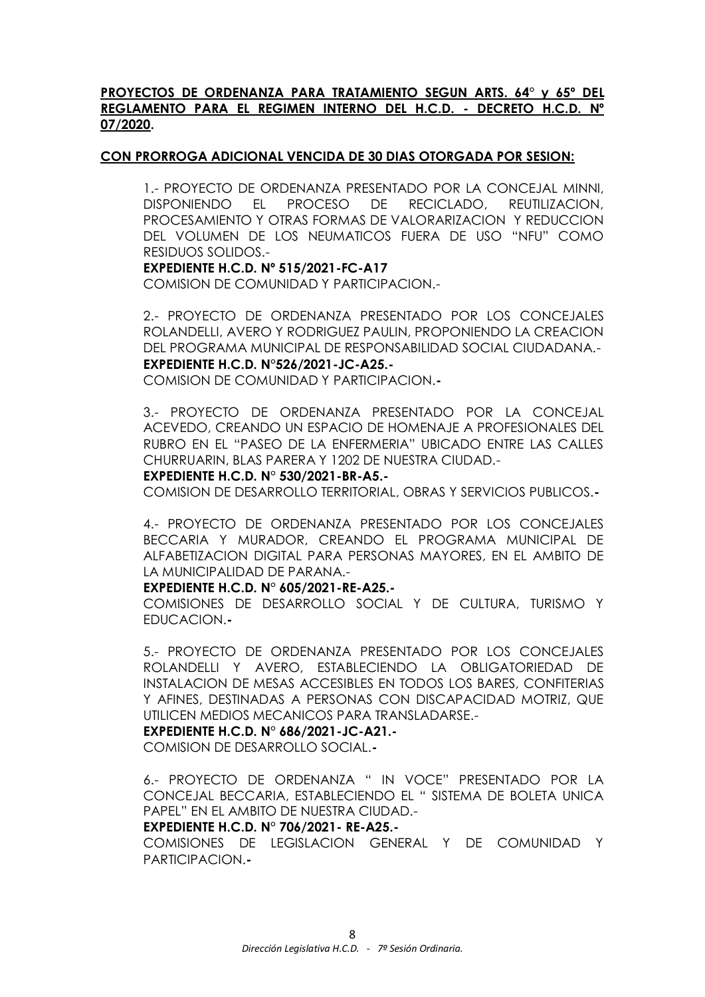# **PROYECTOS DE ORDENANZA PARA TRATAMIENTO SEGUN ARTS. 64° y 65º DEL REGLAMENTO PARA EL REGIMEN INTERNO DEL H.C.D. - DECRETO H.C.D. Nº 07/2020.**

### **CON PRORROGA ADICIONAL VENCIDA DE 30 DIAS OTORGADA POR SESION:**

1.- PROYECTO DE ORDENANZA PRESENTADO POR LA CONCEJAL MINNI, DISPONIENDO EL PROCESO DE RECICLADO, REUTILIZACION, PROCESAMIENTO Y OTRAS FORMAS DE VALORARIZACION Y REDUCCION DEL VOLUMEN DE LOS NEUMATICOS FUERA DE USO "NFU" COMO RESIDUOS SOLIDOS.-

# **EXPEDIENTE H.C.D. Nº 515/2021-FC-A17**

COMISION DE COMUNIDAD Y PARTICIPACION.-

2.- PROYECTO DE ORDENANZA PRESENTADO POR LOS CONCEJALES ROLANDELLI, AVERO Y RODRIGUEZ PAULIN, PROPONIENDO LA CREACION DEL PROGRAMA MUNICIPAL DE RESPONSABILIDAD SOCIAL CIUDADANA.- **EXPEDIENTE H.C.D. N°526/2021-JC-A25.-**

COMISION DE COMUNIDAD Y PARTICIPACION.**-**

3.- PROYECTO DE ORDENANZA PRESENTADO POR LA CONCEJAL ACEVEDO, CREANDO UN ESPACIO DE HOMENAJE A PROFESIONALES DEL RUBRO EN EL "PASEO DE LA ENFERMERIA" UBICADO ENTRE LAS CALLES CHURRUARIN, BLAS PARERA Y 1202 DE NUESTRA CIUDAD.-

#### **EXPEDIENTE H.C.D. N° 530/2021-BR-A5.-**

COMISION DE DESARROLLO TERRITORIAL, OBRAS Y SERVICIOS PUBLICOS.**-**

4.- PROYECTO DE ORDENANZA PRESENTADO POR LOS CONCEJALES BECCARIA Y MURADOR, CREANDO EL PROGRAMA MUNICIPAL DE ALFABETIZACION DIGITAL PARA PERSONAS MAYORES, EN EL AMBITO DE LA MUNICIPALIDAD DE PARANA.-

#### **EXPEDIENTE H.C.D. N° 605/2021-RE-A25.-**

COMISIONES DE DESARROLLO SOCIAL Y DE CULTURA, TURISMO Y EDUCACION.**-**

5.- PROYECTO DE ORDENANZA PRESENTADO POR LOS CONCEJALES ROLANDELLI Y AVERO, ESTABLECIENDO LA OBLIGATORIEDAD DE INSTALACION DE MESAS ACCESIBLES EN TODOS LOS BARES, CONFITERIAS Y AFINES, DESTINADAS A PERSONAS CON DISCAPACIDAD MOTRIZ, QUE UTILICEN MEDIOS MECANICOS PARA TRANSLADARSE.-

### **EXPEDIENTE H.C.D. N° 686/2021-JC-A21.-**

COMISION DE DESARROLLO SOCIAL.**-**

6.- PROYECTO DE ORDENANZA " IN VOCE" PRESENTADO POR LA CONCEJAL BECCARIA, ESTABLECIENDO EL " SISTEMA DE BOLETA UNICA PAPEL" EN EL AMBITO DE NUESTRA CIUDAD.-

#### **EXPEDIENTE H.C.D. N° 706/2021- RE-A25.-**

COMISIONES DE LEGISLACION GENERAL Y DE COMUNIDAD Y PARTICIPACION.**-**